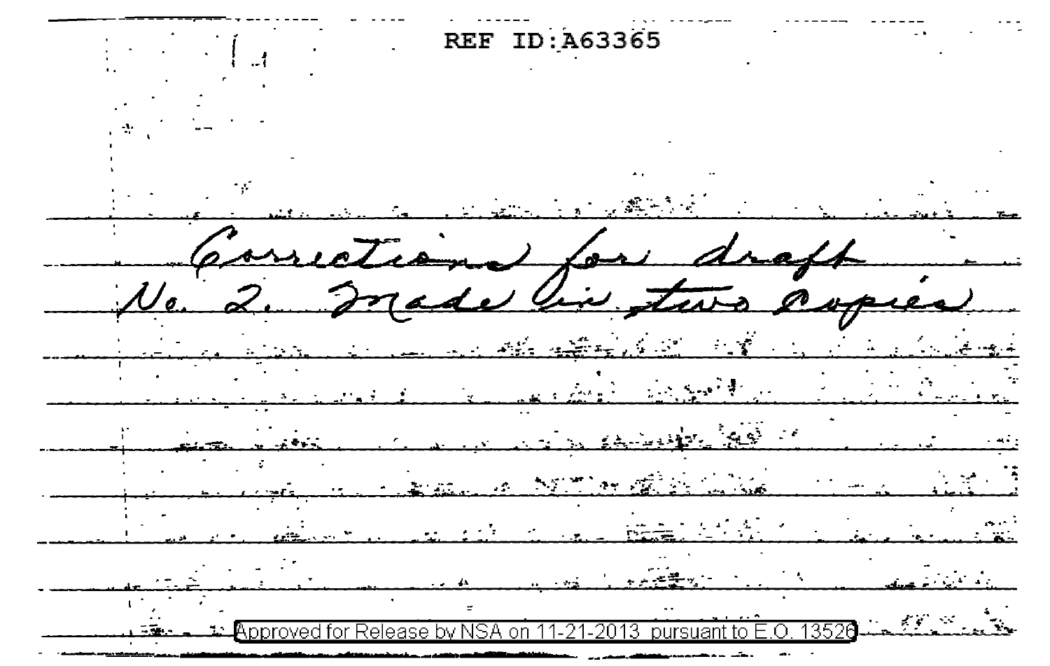REF ID: A63365 d e  $\sim$   $\sim$  $\mathcal{L}_{\mathcal{A}}$  $\mathcal{L}(\mathcal{L})$ pproved for Release by NSA on 11-21-2013 pursuant to E.O. 13526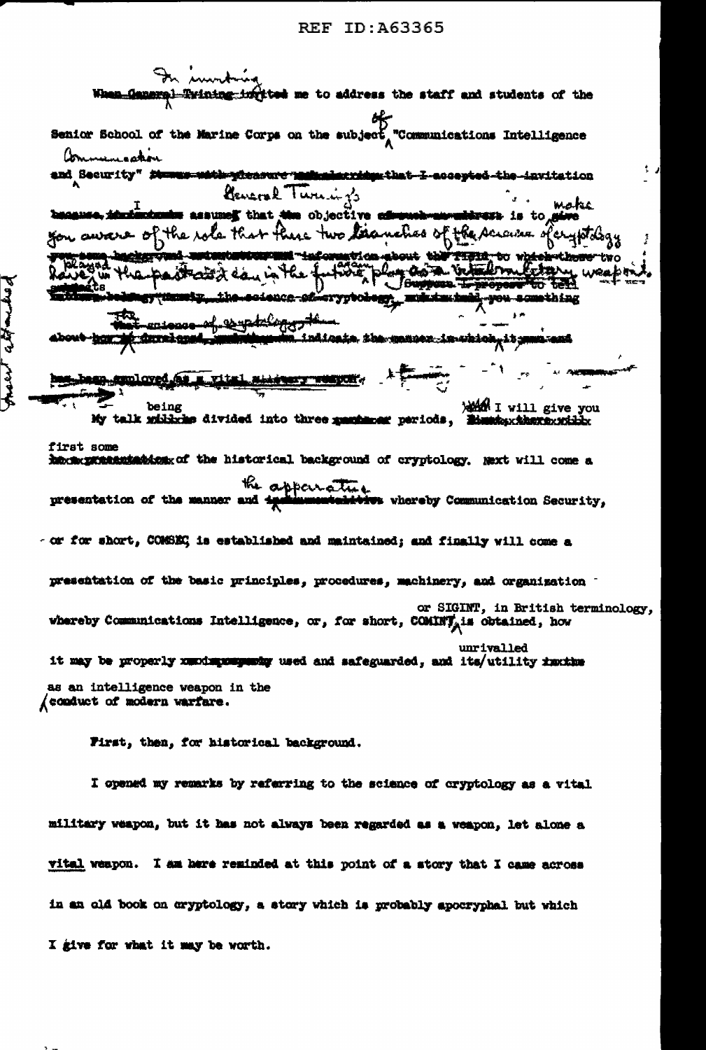

I opened my remarks by referring to the science of cryptology as a vital military weapon, but it has not always been regarded as a weapon, let alone a vital weapon. I am here reminded at this point of a story that I came across in an old book on cryptology, a story which is probably apocryphal but which I give for what it may be worth.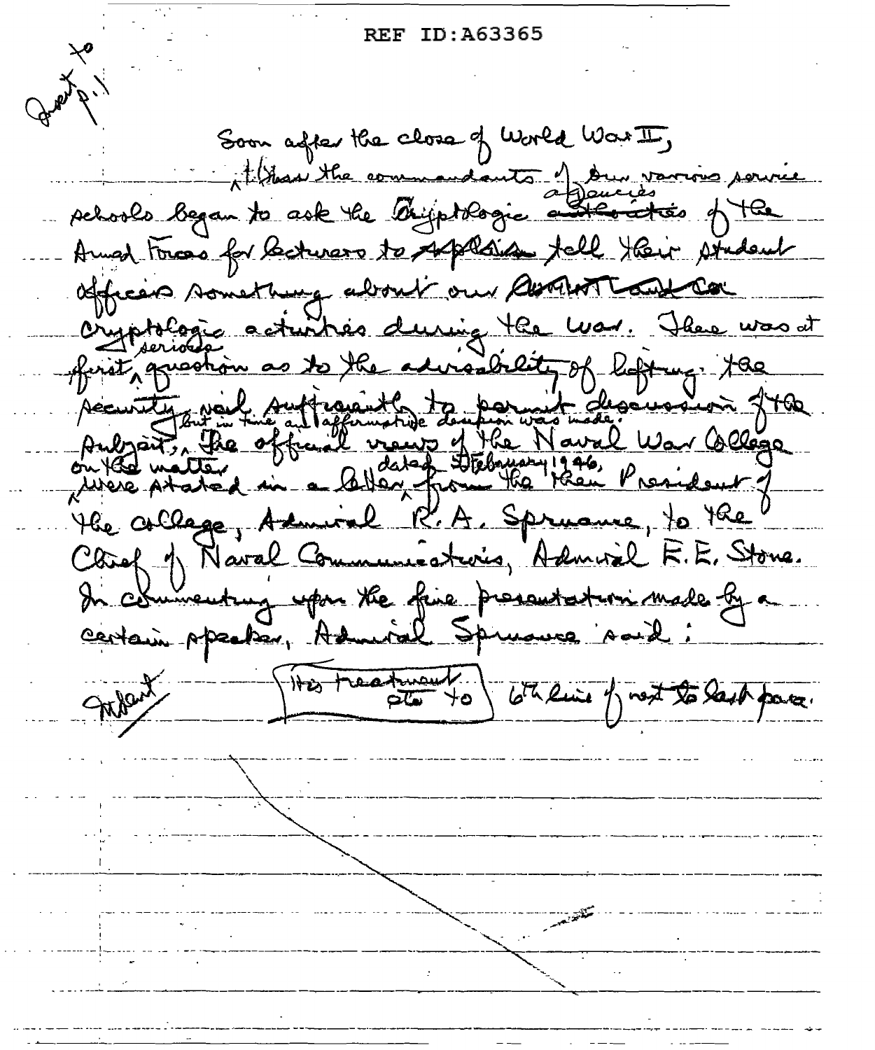Soon after the close of World War II, than the commandants of Dun various schools began to ask the Oniportogie a  $\pi$  os of  $\pi$ Anned Forces for lecturers to supplain tell their student officers something about our about tout con There was at cryptologic acturbés during the was. ofinity greation to the advisability of ligting. the  $\overline{\mathcal{S}}$ Accurating New Aufraignets to bermut - descussion fthe brait, the official views <u>Vaval War College</u> rdeut 1 anne, to the l R.A. Spry the collage. steris, Admiral F.E. Stone. Chief 1 Naval Com commenting upon the fine presentation made by a centain ppecter, Admiral Spruauce A. THis treature totaline of next to last para.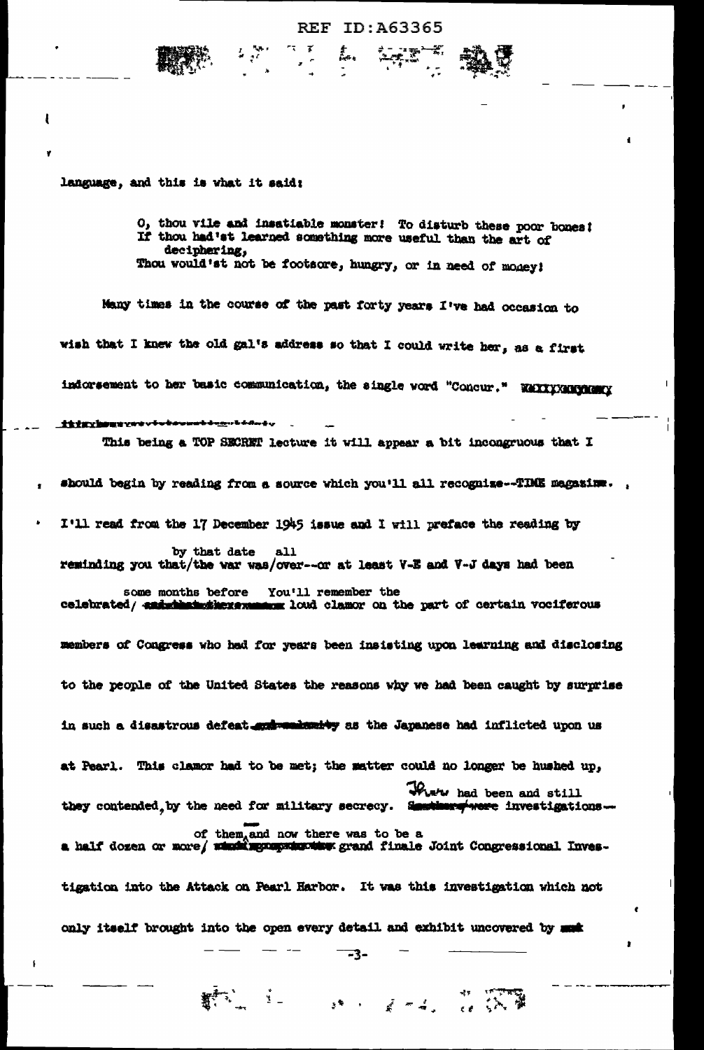#### ID:A63365 REF

language, and this is what it said:

f,

O, thou vile and insatiable monster! To disturb these poor bones! If thou had'st learned something more useful than the art of deciphering, Thou would'st not be footsore, hungry, or in need of money!

Many times in the course of the past forty years I've had occasion to wish that I knew the old gal's address so that I could write her, as a first indorsement to her basic communication, the single word "Concur." WAXXXXXXXXXXXXXXX tttwyboury elekwanzi diduktika ku This being a TOP SECRET lecture it will appear a bit incongruous that I

should begin by reading from a source which you'll all recognize--TIME magazing. I'll read from the 17 December 1945 issue and I will preface the reading by by that date all reminding you that/the war was/over--or at least V-E and V-J days had been some months before You'll remember the celebrated/ end that the random loud clamor on the part of certain vociferous members of Congress who had for years been insisting upon learning and disclosing to the people of the United States the reasons why we had been caught by surprise in such a disastrous defeat and weakenity as the Japanese had inflicted upon us at Pearl. This clamor had to be met; the matter could no longer be hushed up, There had been and still they contended by the need for military secrecy. Sestimary were investigations. of them, and now there was to be a<br>a half dozen or more/ what agregates the grand finale Joint Congressional Inves-

tigation into the Attack on Pearl Harbor. It was this investigation which not only itself brought into the open every detail and exhibit uncovered by must

 $\frac{1}{2}$  .

-3-

 $\mathbb{R}^{\frac{1}{2} \times \frac{1}{2}} \mathbb{R}^{\frac{1}{2} \times \frac{1}{2}} \mathbb{R}^{\frac{1}{2} \times \frac{1}{2}} \mathbb{R}^{\frac{1}{2} \times \frac{1}{2}} \mathbb{R}^{\frac{1}{2} \times \frac{1}{2}} \mathbb{R}^{\frac{1}{2} \times \frac{1}{2}} \mathbb{R}^{\frac{1}{2} \times \frac{1}{2}} \mathbb{R}^{\frac{1}{2} \times \frac{1}{2}} \mathbb{R}^{\frac{1}{2} \times \frac{1}{2}} \mathbb{R}^{\frac{1}{2$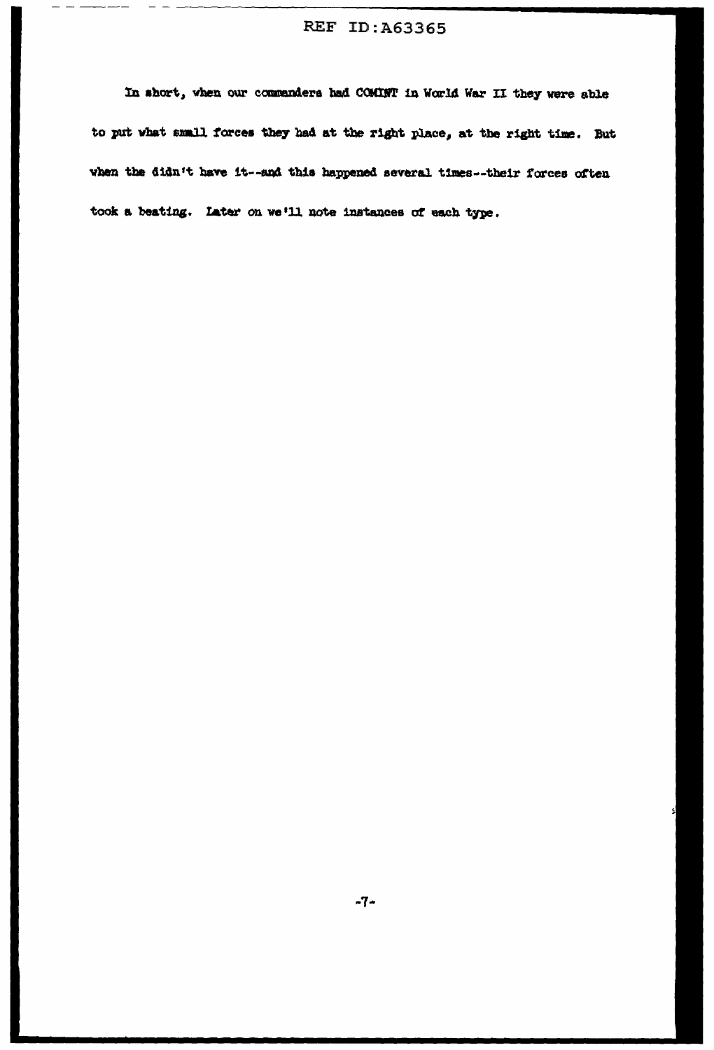$-$ 

In short, when our commanders had COMINT in World War II they were able to put what small forces they had at the right place, at the right time. But when the didn't have it--and this happened several times--their forces often took a beating. Later on we'll note instances of each type.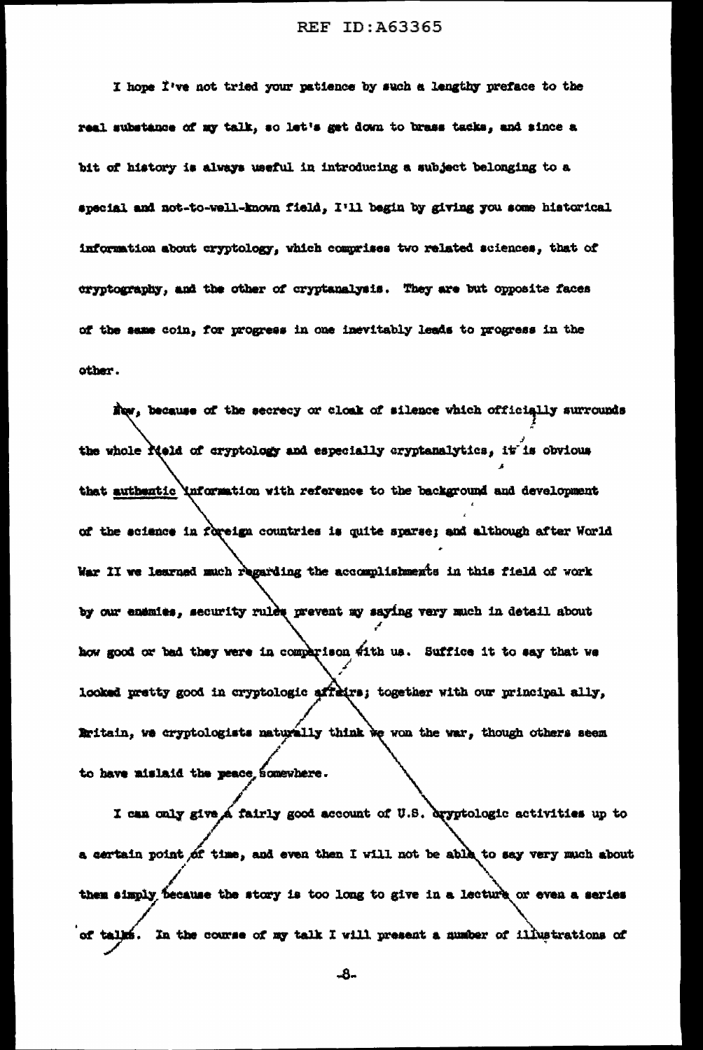I hope I've not tried your patience by such a lengthy preface to the real substance of my talk, so let's get down to brass tacks, and since a bit of history is always useful in introducing a subject belonging to a special and not-to-well-known field, I'll begin by giving you some historical information about cryptology, which comprises two related sciences, that of cryptography, and the other of cryptanalysis. They are but opposite faces of the same coin, for progress in one inevitably leads to progress in the other.

Now, because of the secrecy or closk of silence which officially surrounds the whole rield of cryptology and especially cryptanalytics, it is obvious that authentic \nformation with reference to the background and development of the science in foreign countries is quite sparse; and although after World War II we learned much regarding the accomplishments in this field of work by our enemies, security rules prevent my saying very much in detail about how good or bad they were in comparison with us. Suffice it to say that we looked pretty good in cryptologic affeirs; together with our principal ally, Britain, we cryptologists naturally think we won the war, though others seem to have mislaid the peace somewhere.

I can only give a fairly good account of U.S. dryptologic activities up to a certain point of time, and even then I will not be able to say very much about them simply because the story is too long to give in a lecture or even a series of talks. In the course of my talk I will present a number of illustrations of

-8-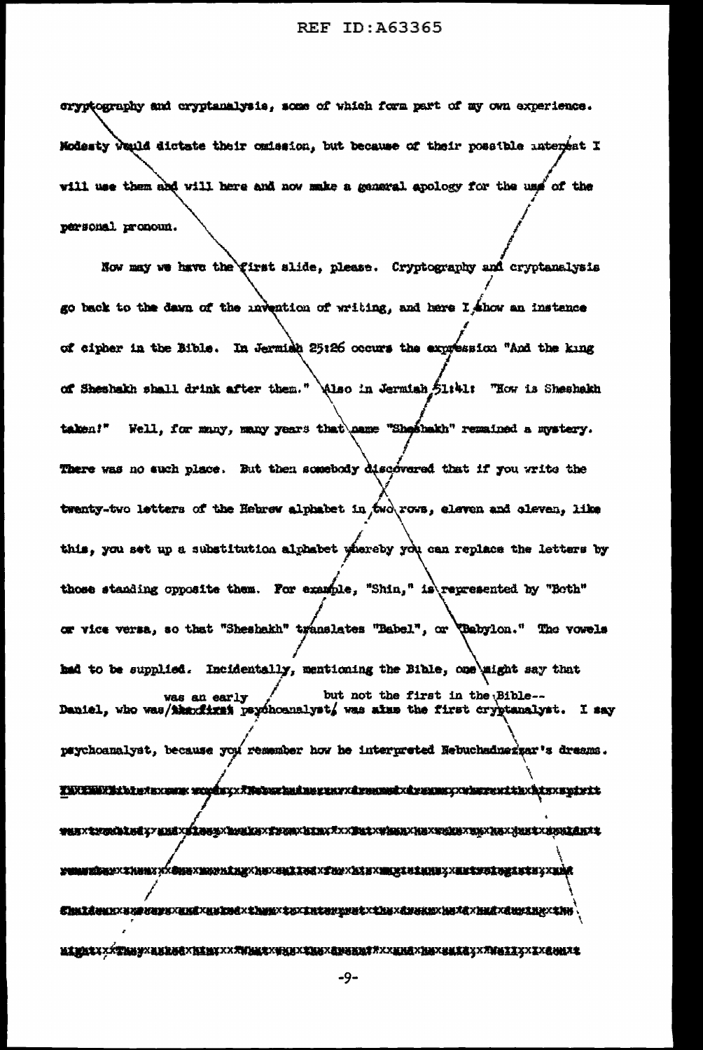cryptography and cryptanalysis, some of which form part of my own experience. Modesty weuld dictate their omission, but because of their possible interest I will use them and will here and now make a general apology for the use of the personal pronoun.

Now may we have the first slide, please. Cryptography and cryptanalysis go back to the dawn of the invention of writing, and here I ahow an instence of cipher in the Bible. In Jermish 25:26 occurs the expression "And the king of Sheshakh shall drink after them." Also in Jermiah 51:41: "How is Sheshakh Well, for many, many years that name "Sheahakh" remained a mystery. talen!" There was no such place. But then somebody discovered that if you write the twenty-two letters of the Hebrew alphabet in , two rows, eleven and oleven, like this, you set up a substitution alphabet whereby you can replace the letters by those standing opposite them. For example, "Shin," is represented by "Both" or vice versa, so that "Sheshakh" translates "Babel", or (Babylon." The vowels had to be supplied. Incidentally, mentioning the Bible, one aight say that but not the first in the Bible-was an early Daniel, who was/thexfixet psychoanalyst, was alus the first cryptanalyst. I say paychoanalyst, because you remember how he interpreted Nebuchadnezzar's dreams. **POMINÍBURYXZHUMXXÍBUGXMERLENEXHEXZELEZZELXZELEXHEXHEXZELENEZXELEVEZUEZXELEYXXMÍR** 

 $-9-$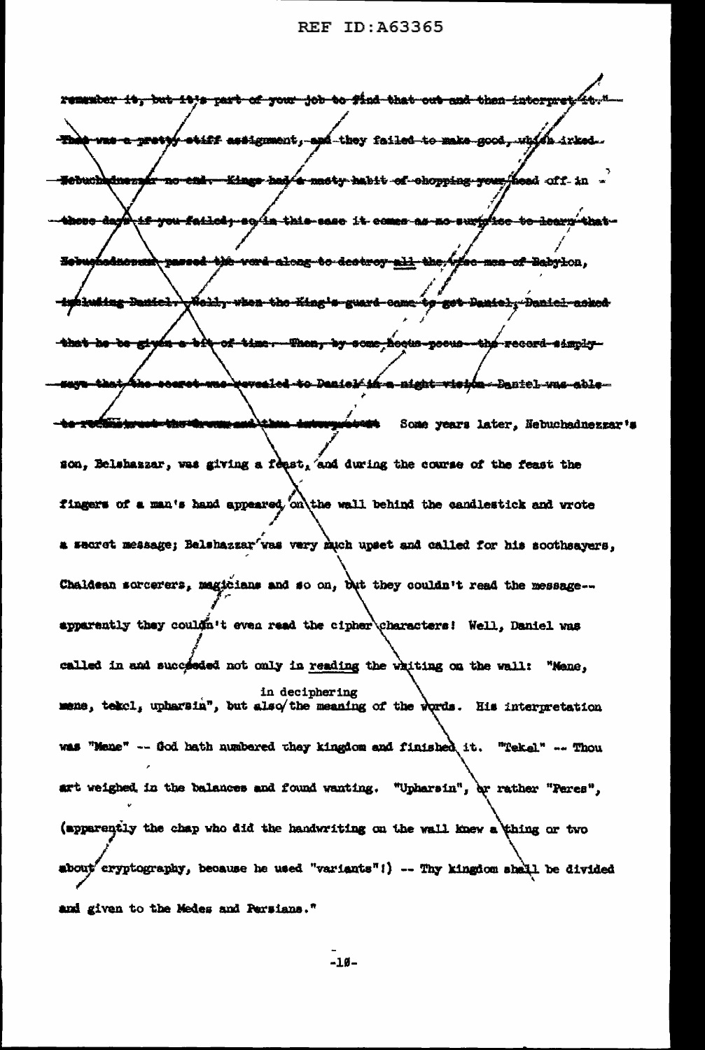| remember it, but it's part of your job to find that out and then interpret it."                               |
|---------------------------------------------------------------------------------------------------------------|
|                                                                                                               |
| The was a pretty etiff assignment, and they failed to make good, which irked.                                 |
| <del>-no-eni. Kings had a maty habit of chopping your hea</del> d off in -<br><del>Sebuchhdnez</del> s        |
|                                                                                                               |
| <del>tif you failed, so in this sase</del> it comes as no surplice to learn that -<br>hhou <del>e dag'i</del> |
| <del>hadnowak, passed -b)h ward along -to destroy all the Afse man of Babyl</del> on,                         |
| <del>oleidy when the King's guard came to get Daniely Daniel asked</del><br>imbluking Daniel.                 |
|                                                                                                               |
| <del>a bit of time. Then, by some hoous poeus the record simply-</del><br>that he be given                    |
| roaret-was-revealed-to-Danielf in a-night-visión--Bantel-was-able--<br><b>MAYA</b>                            |
| to compare the terms and the international                                                                    |
| Some years later, Nebuchadnezzar's                                                                            |
| son, Belshaszar, was giving a feast, and during the course of the feast the                                   |
| fingers of a man's hand appeared, on the wall behind the candlestick and wrote                                |
|                                                                                                               |
| a secret message; Balshazzar'was very much upset and called for his soothsayers,                              |
| Chaldean sorcerers, magicians and so on, but they couldn't read the message--<br>Ţ.                           |
| apparently they couldn't even read the cipher\characters! Well, Daniel was                                    |
|                                                                                                               |
| called in and succeeded not only in reading the whiting on the wall: "Mene,                                   |
| in deciphering<br>mene, tekel, upharsin", but also/the meaning of the words. His interpretation               |
|                                                                                                               |
| was "Mene" -- God hath numbered they kingdom and finished it. "Tekel" -- Thou                                 |
| art weighed, in the balances and found wanting. "Upharsin", by rather "Peres",                                |
| (apparently the chap who did the handwriting on the wall knew a thing or two                                  |
|                                                                                                               |
| about cryptography, because he used "variants"!) -- Thy kingdom shall be divided                              |
| and given to the Medes and Persians."                                                                         |

 $-10-$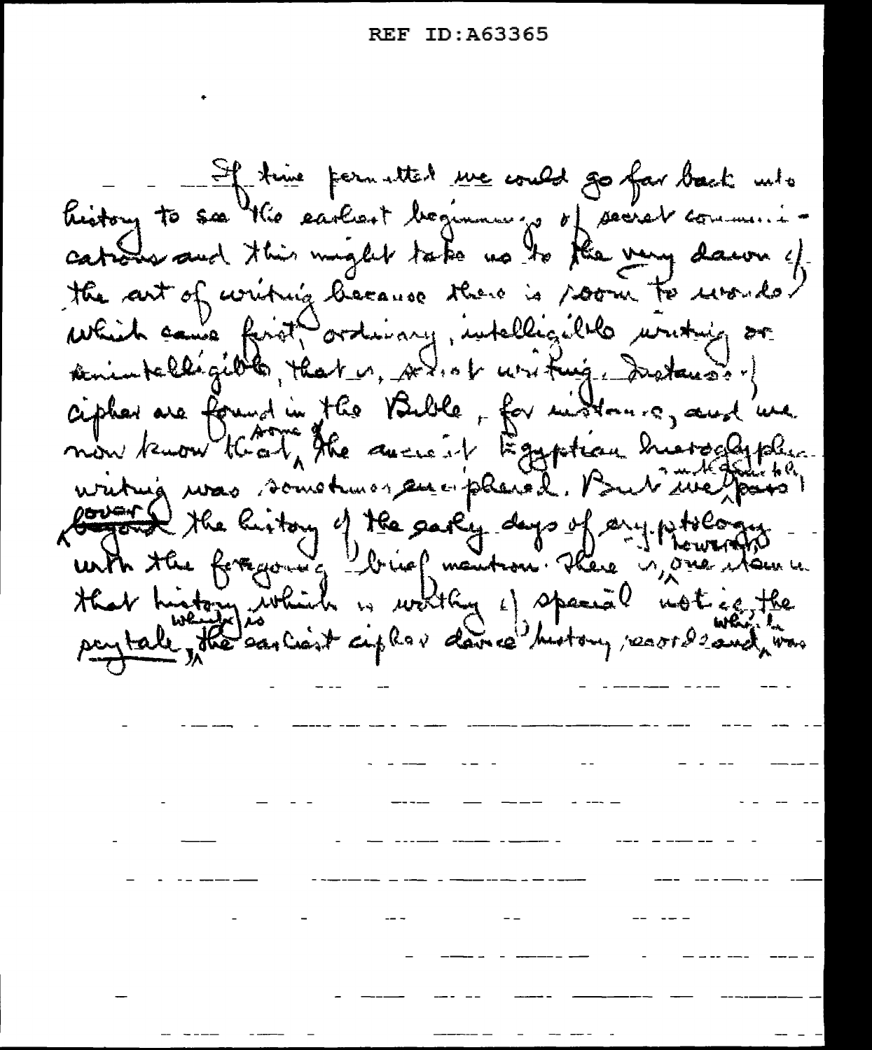If there formatted we could go for back who history to see the earliest beginning of secret community cataly and this might take no to the very dawn of the art of writing because there is soon to urorder which cause first ordinary, intelligible uniting or senia telligible, that is, with westing, Instances of cipher are found in the Bible, for midtonic, and we now know that, the ancient Egyptian hurselyph watug was sometimes and placed. But the faits Couplet the listory of the early days of any pitology -Har history inhibite in worthy of spanial notice, the

المستحدث المستعاد

where the contract of the contract of the contract of the contract of the contract of the contract of the contract of the contract of the contract of the contract of the contract of the contract of the contract of the con

<u> 1990 - Amerikan Amerikan </u>

المناسبة المستخدمة المناسبة المستخدمة المستخدمة المستخدمة المستخدمة المستخدمة المستخدمة المستخدمة المستخدمة الم

 $\frac{1}{\sqrt{2}}\left( \frac{1}{\sqrt{2}}\right) \left( \frac{1}{\sqrt{2}}\right) \left( \frac{1}{\sqrt{2}}\right) \left( \frac{1}{\sqrt{2}}\right) \left( \frac{1}{\sqrt{2}}\right) \left( \frac{1}{\sqrt{2}}\right) \left( \frac{1}{\sqrt{2}}\right) \left( \frac{1}{\sqrt{2}}\right) \left( \frac{1}{\sqrt{2}}\right) \left( \frac{1}{\sqrt{2}}\right) \left( \frac{1}{\sqrt{2}}\right) \left( \frac{1}{\sqrt{2}}\right) \left( \frac{1}{\sqrt{2}}\right) \left$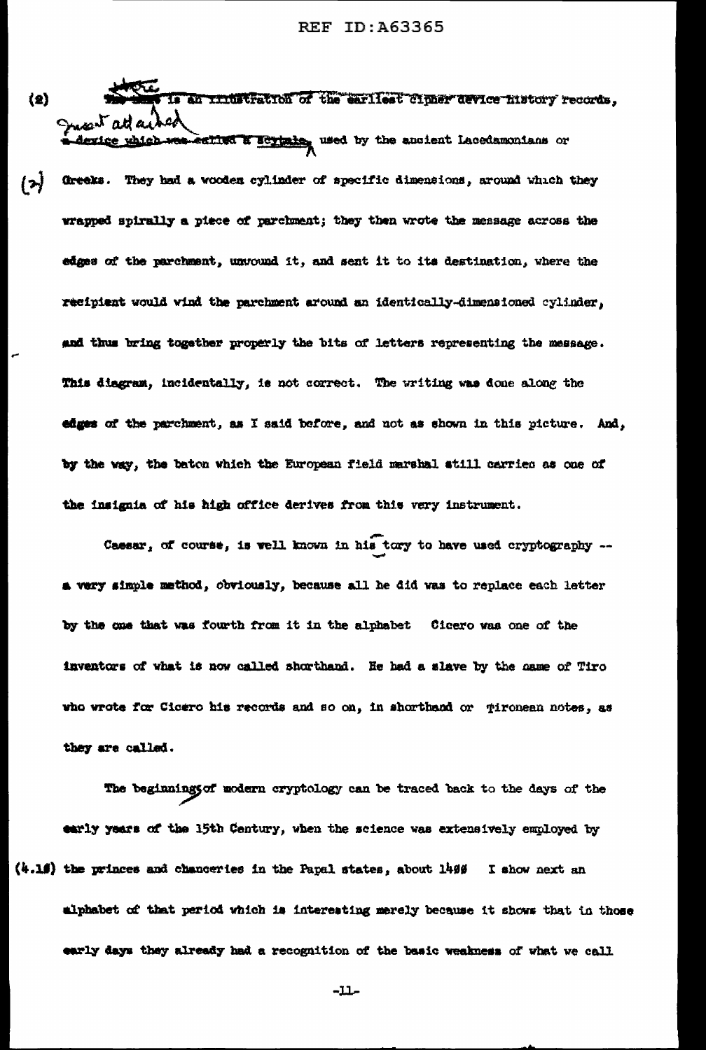- is an initiation of the earliest cipher device history records,  $(2)$ Just att a device which was esting a scylain, used by the ancient Lacedamonians or
- $\mathbf{r}$ Greeks. They had a wooden cylinder of specific dimensions, around which they wrapped spirally a piece of parchment; they then wrote the message across the edges of the parchment, unvound it, and sent it to its destination, where the recipient would wind the parchment around an identically-dimensioned cylinder, and thus bring together properly the bits of letters representing the message. This diagram, incidentally, is not correct. The writing was done along the edges of the parchment, as I said before, and not as shown in this picture. And, by the way, the baton which the European field marshal atill carries as one of the insignia of his high office derives from this very instrument.

Caesar, of course, is well known in his tory to have used cryptography -a very simple method, obviously, because all he did was to replace each letter by the one that was fourth from it in the alphabet Cicero was one of the inventors of what is now called shorthand. He had a slave by the name of Tiro who wrote for Cicero his records and so on, in shorthand or gironean notes, as they are called.

The beginnings of modern cryptology can be traced back to the days of the early years of the 15th Century, when the science was extensively employed by  $(4.15)$  the princes and chanceries in the Papal states, about 1499 I show next an alphabet of that period which is interesting merely because it shows that in those early days they already had a recognition of the basic weakness of what we call

-11-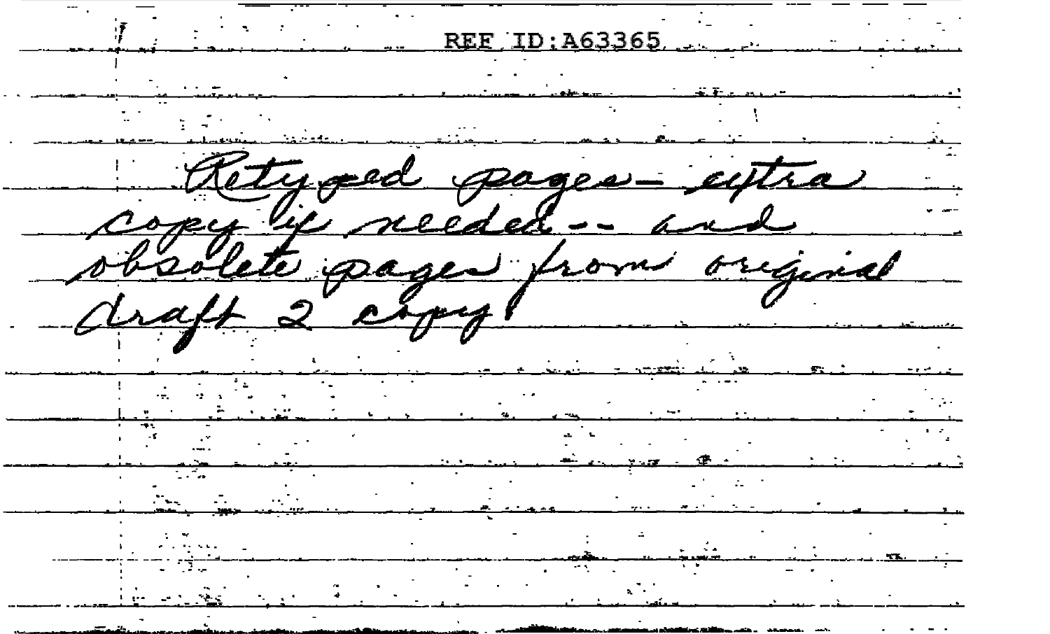REF ID: A63365  $\sim 100$  $\ddotsc$  $\overline{r}_{\text{beam}}$ ÷. tra  $geq =$ regional ⊸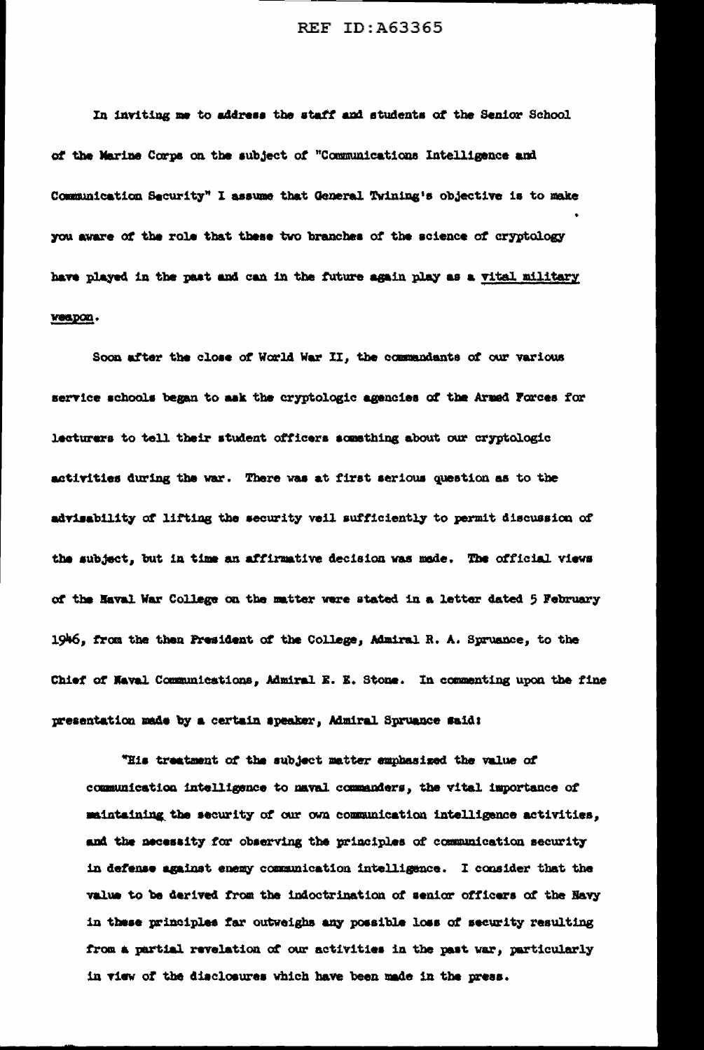In inviting me to address the staff and students of the Senior School of the Marine Corps on the subject of "Communications Intelligence and Communication Security" I assume that General Twining's objective is to make you aware of the role that these two branches of the science of cryptology have played in the past and can in the future again play as a vital military weapon.

Soon after the close of World War II, the commandants of our various service schools began to ask the cryptologic agencies of the Armed Forces for lecturers to tell their student officers something about our cryptologic activities during the war. There was at first serious question as to the advisability of lifting the security veil sufficiently to permit discussion of the subject, but in time an affirmative decision was made. The official views of the Naval War College on the matter were stated in a letter dated 5 February 1946, from the then President of the College, Admiral R. A. Sprusnce, to the Chief of Naval Communications, Admiral E. E. Stone. In commenting upon the fine presentation made by a certain speaker, Admiral Spruance said:

"His treatment of the subject matter emphasized the value of communication intelligence to maval commanders, the vital importance of maintaining the security of our own communication intelligence activities, and the necessity for observing the principles of communication security in defense against enemy communication intelligence. I consider that the value to be derived from the indoctrination of senior officers of the Havy in these principles far outweighs any possible loss of security resulting from a partial revelation of our activities in the past war, particularly in view of the disclosures which have been made in the press.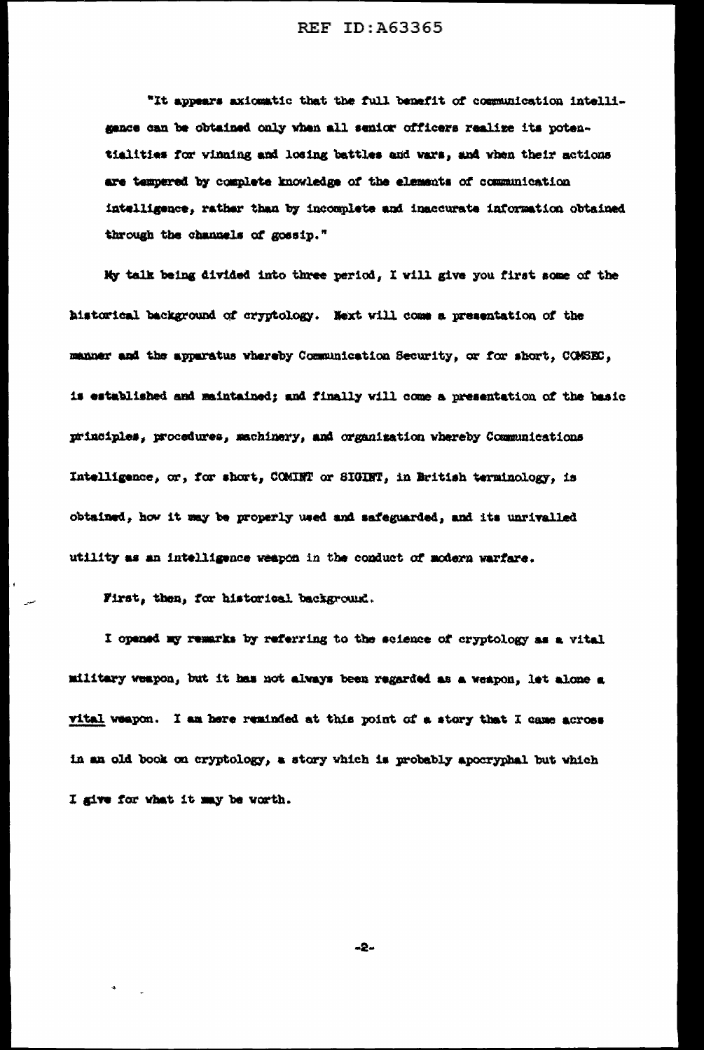"It appears axiomatic that the full benefit of communication intelligance can be obtained only when all senior officers realize its potentialities for vinning and losing battles and wars, and when their actions are tempered by complete knowledge of the elements of communication intelligence, rather than by incomplete and inaccurate information obtained through the channels of gossip."

My talk being divided into three period, I will give you first some of the historical background of cryptology. Next will come a presentation of the manner and the apparatus whereby Communication Security, or for short, COMSEC, is established and maintained; and finally will come a presentation of the basic principles, procedures, machinery, and organization whereby Communications Intelligence, or, for short, COMINT or SIGINT, in British terminology, is obtained, how it may be properly used and safeguarded, and its unrivalled utility as an intelligence weapon in the conduct of modern warfare.

First, then, for historical background.

I opened my remarks by referring to the science of cryptology as a vital military weapon, but it has not always been regarded as a weapon, let alone a vital weapon. I am here reminded at this point of a story that I came across in an old book on cryptology, a story which is probably apocryphal but which I give for what it may be worth.

 $-2-$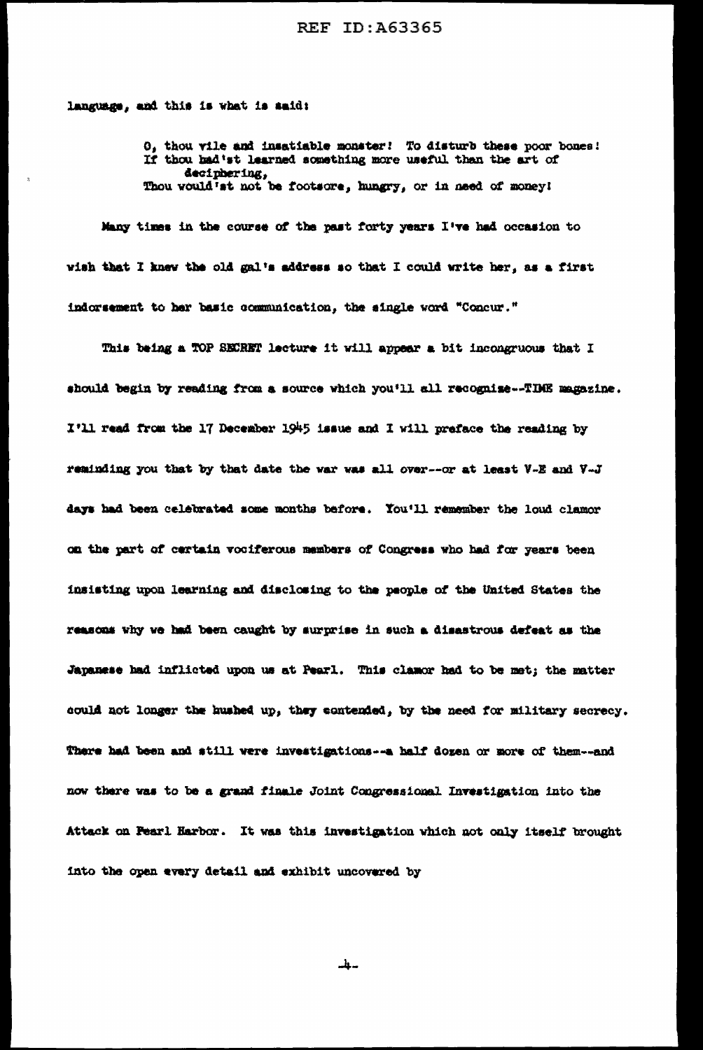language, and this is what is said:

O, thou vile and insatiable monster! To disturb these poor bones! If thou had'st learned something more useful than the art of deciphering, Thou would'st not be footsore, hungry, or in need of money!

Many times in the course of the past forty years I've had occasion to wish that I knew the old gal's address so that I could write her, as a first indorsement to her basic communication, the single word "Concur."

This being a TOP SECRET lecture it will appear a bit incongruous that I should begin by reading from a source which you'll all recognize--TDME magazine. I'll read from the 17 December 1945 issue and I will preface the reading by reminding you that by that date the war was all over--or at least V-E and V-J days had been celebrated some months before. You'll remember the loud clamor on the part of cartain vociferous members of Congress who had for years been insisting upon learning and disclosing to the people of the United States the reasons why we had been caught by surprise in such a disastrous defeat as the Japanese had inflicted upon us at Pearl. This clamor had to be met; the matter could not longer the hushed up, they contended, by the need for military secrecy. There had been and still vere investigations -- a half dozen or more of them---and now there was to be a grand finale Joint Congressional Investigation into the Attack on Fearl Harbor. It was this investigation which not only itself brought into the open every detail and exhibit uncovered by

-4−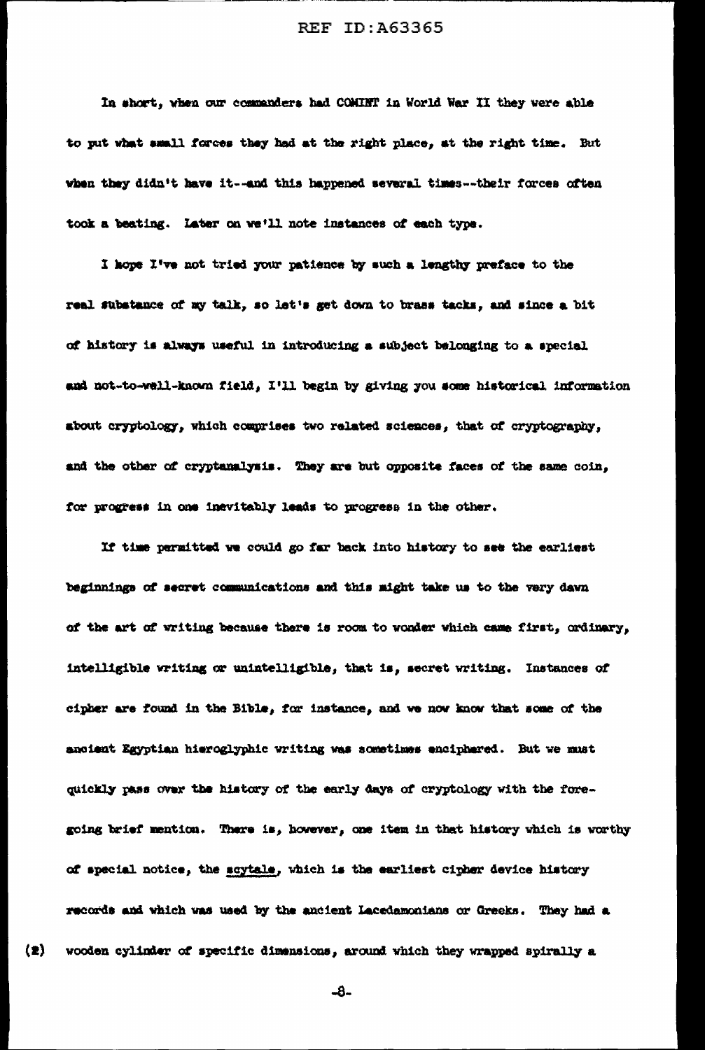In short, when our commanders had COMINT in World War II they were able to put what small forces they had at the right place, at the right time. But when they didn't have it--and this happened several times--their forces often took a beating. Later on we'll note instances of each type.

I hope I've not tried your patience by such a lengthy preface to the real substance of my talk, so let's get down to brass tacks, and since a bit of history is always useful in introducing a subject belonging to a special and not-to-well-known field, I'll begin by giving you some historical information about cryptology, which comprises two related sciences, that of cryptography, and the other of cryptanalysis. They are but opposite faces of the same coin, for progress in one inevitably leads to progress in the other.

If time permitted we could go far back into history to see the earliest beginnings of secret communications and this might take us to the very dawn of the art of writing because there is room to wonder which came first, ordinary, intelligible writing or unintelligible, that is, secret writing. Instances of cipher are found in the Bible, for instance, and we now know that some of the anoient Egyptian hieroglyphic writing was sometimes enciphered. But we must quickly pass over the history of the early days of cryptology with the foregoing brief mention. There is, however, one item in that history which is worthy of special notice, the scytale, which is the earliest cipher device history records and which was used by the ancient Lacedamonians or Greeks. They had a wooden cylinder of specific dimensions, around which they wrapped spirally a

-8-

 $(2)$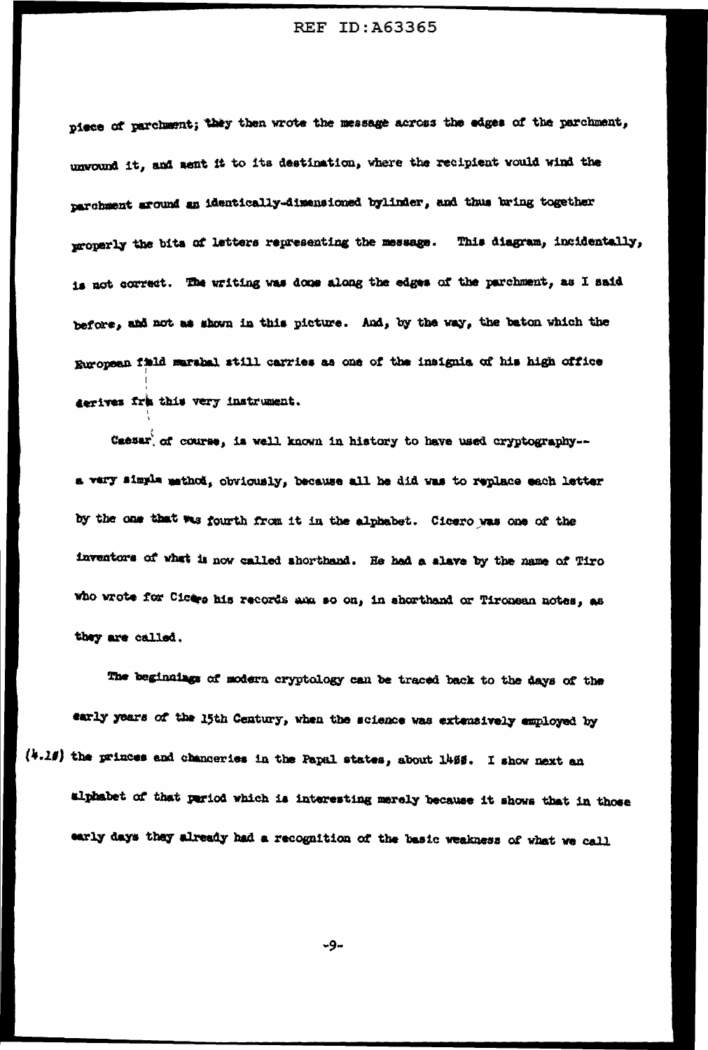piece of parchment; they then wrote the message across the edges of the parchment, unvound it, and sent it to its destination, where the recipient would wind the parchment around an identically-dimensioned bylinder, and thus bring together properly the bits of letters representing the message. This diagram, incidentally, is not correct. The writing was done along the edges of the parchment, as I said before, and not as shown in this picture. And, by the way, the baton which the European field marshal still carries as one of the insignia of his high office derives fra this very instrument.

Caesar' of course, is well known in history to have used cryptography-a very simple mathod, obviously, because all he did was to replace each letter by the one that was fourth from it in the alphabet. Cicero was one of the inventors of what is now called shorthand. He hed a slave by the name of Tiro who wrote for Cicers his records and so on, in shorthand or Tironsan notes, as they are called.

The beginnings of modern cryptology can be traced back to the days of the early years of the 15th Century, when the science was extensively employed by  $(4.29)$  the princes and changeries in the Papal states, about 1495. I show next an alphabet of that pariod which is interesting merely because it shows that in those early days they already had a recognition of the basic weakness of what we call

 $-9-$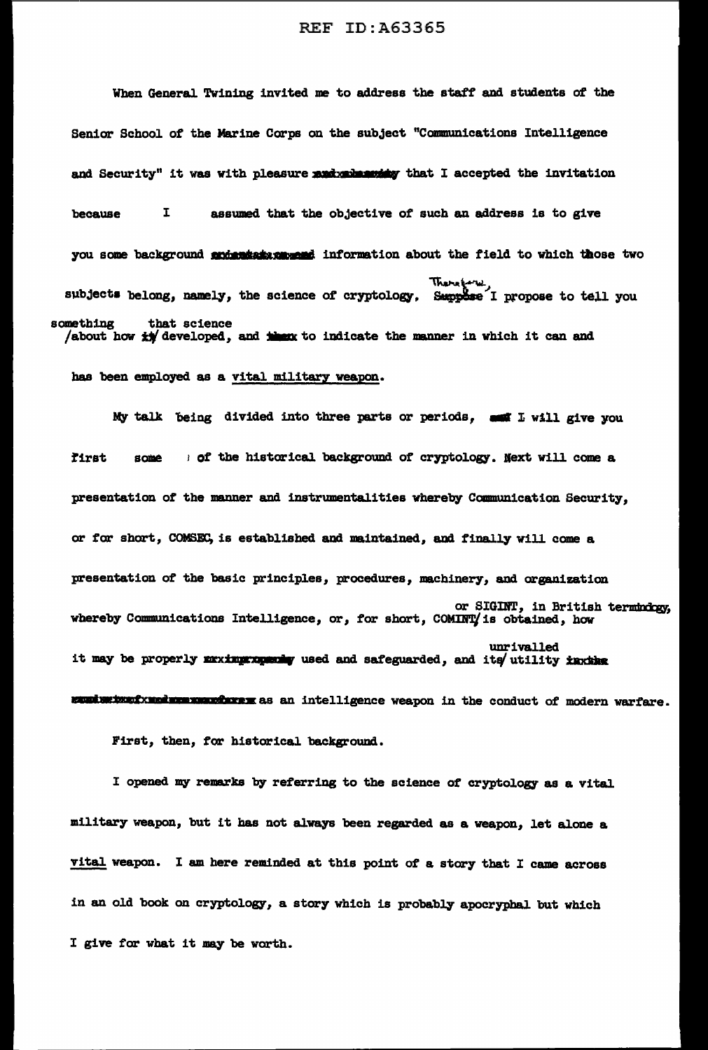When General Twining invited me to address the staff and students of the Senior School of the Marine Corps on the subJect "Communications Intelligence and Security" it was with pleasure **and members that I** accepted the invitation because I assumed that the objective of such an address is to give you some background sudentsix mussed information about the field to which those two There  $x^2$ , subjects belong, namely, the science of cryptology. Suppose I propose to tell you something that science /about how  $\star$  developed, and then to indicate the manner in which it can and

has been employed as a vital military weapon.

My talk being divided into three parts or periods,  $\frac{1}{2}$  will give you first some : of the historical background of cryptology. Next will come a presentation of the manner and instrumentalities whereby Cammunication Security, or *tor* short, COMSEC, is established and maintained, and finally will come a presentation of the basic principles, procedures, machinery, and organization or SIGINT, in British termhdogy, whereby Communications Intelligence, or, for short, COMINTY is obtained, how unrivalled it may be properly muximurnum used and safeguarded, and its utility insthe **EXULURIXED IN EXTERNATE AS AN intelligence weapon in the conduct of modern warfare.** 

First, then, for historical background.

I opened my remarks by referring to the science of cryptology as a vital military weapon, but it has not always been regarded as a weapon, let alone a vital weapon. I am here reminded at this point of a story that I came across in an old book on cryptology, a story which is probably apocryphal. but which I give for what it may be worth.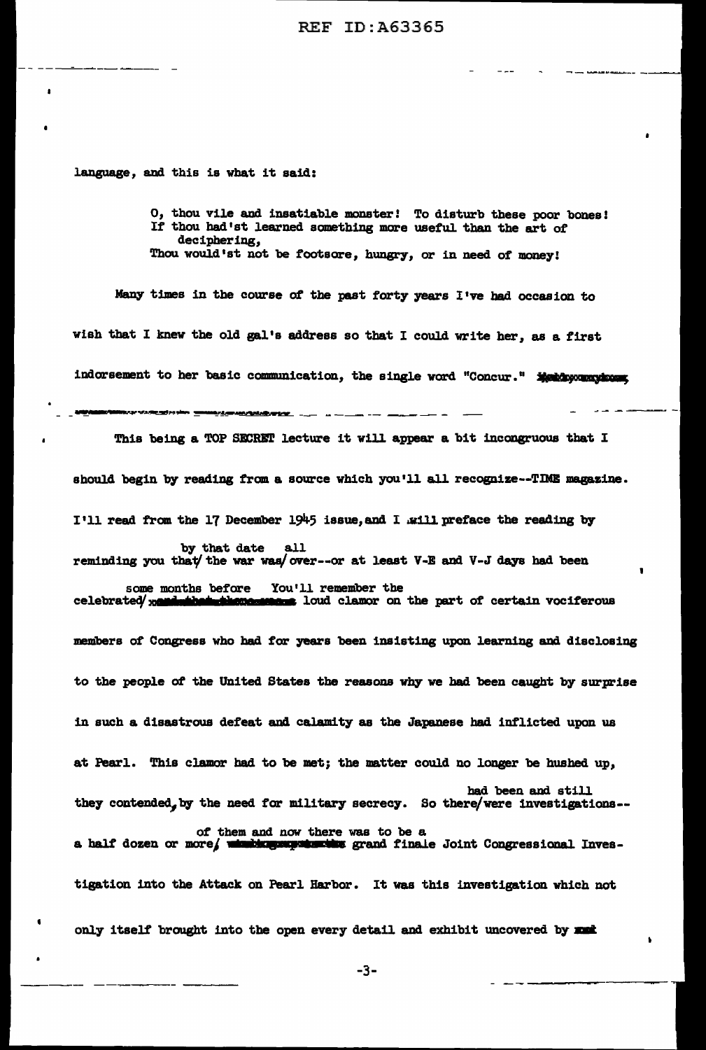language, and this is what it said:

O, thou vile and insatiable monster! To disturb these poor bones! If thou had'st learned something more useful than the art of deciphering, Thou would'st not be footsore, hungry, or in need of money!

Many times in the course of the past forty years I've had occasion to wish that I knew the old gal's address so that I could write her, as a first indorsement to her basic communication, the single word "Concur." \*\*\*\*\*\*\*\*\*\*\*\*\*\*\*\*\*\*\*\*\*\*\*\*\*\*\*\*\*\*\*\*\*\*

This being a TOP SECRET lecture it will appear a bit incongruous that I should begin by reading from a source which you'll all recognize--TIME magazine. I'll read from the 17 December 1945 issue, and I will preface the reading by by that date all reminding you that/ the war was/ over--or at least V-E and V-J days had been some months before You'll remember the<br>celebrated xeminibated then sense loud clamor on **same** loud clamor on the part of certain vociferous :members of' Congress who bad for years been insisting upon learning and disclosing to the people *ot* the United States the reasons why we had been caught by surprise in such a disastrous defeat and calamity as the Japanese bad inflicted upon us at Pearl. This clamor had to be met; the matter could no longer be hushed up, bad been and still they contended, by the need for military secrecy. So there/were investigations-of them and now there was to be a a half dozen or more was how onere was to be a half dozen or more was to be a tigation into the Attack on Pearl Barbor. It was this investigation which not only itself brought into the open every detail and exhibit uncovered by xxx

'

-3- ------ --~~-- -~--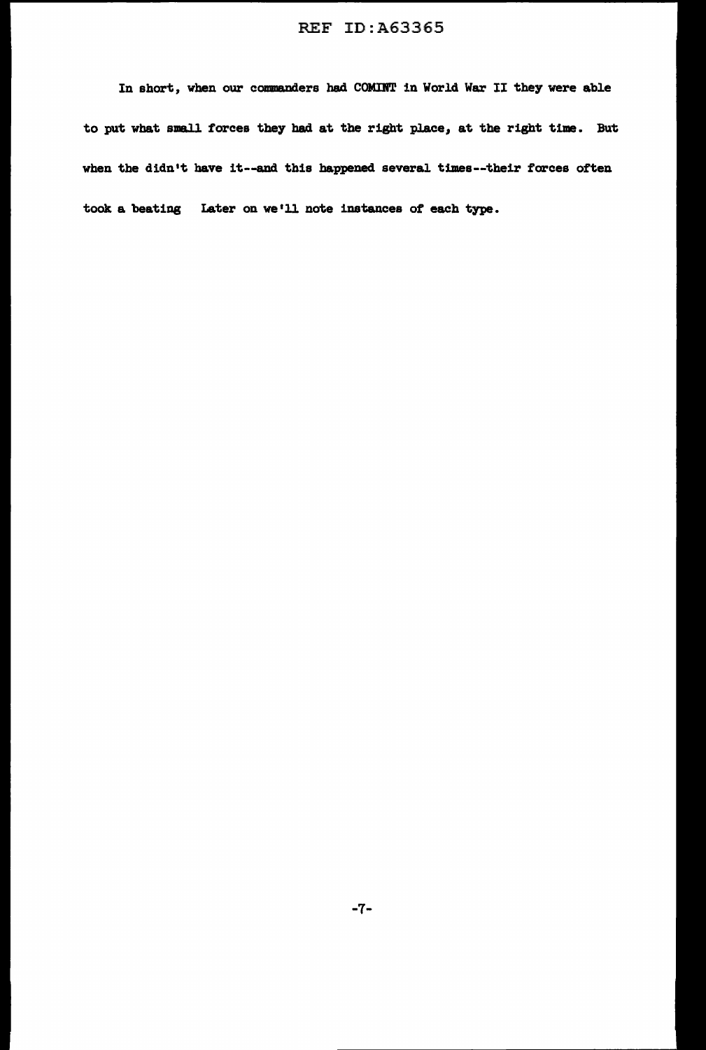In short, when our commanders had COMDT in World War II they were able to put what small forces they had at the right place, at the right time. But when the didn't have it--and this happened several times--their forces often took a beating Later on we'll note instances of each type.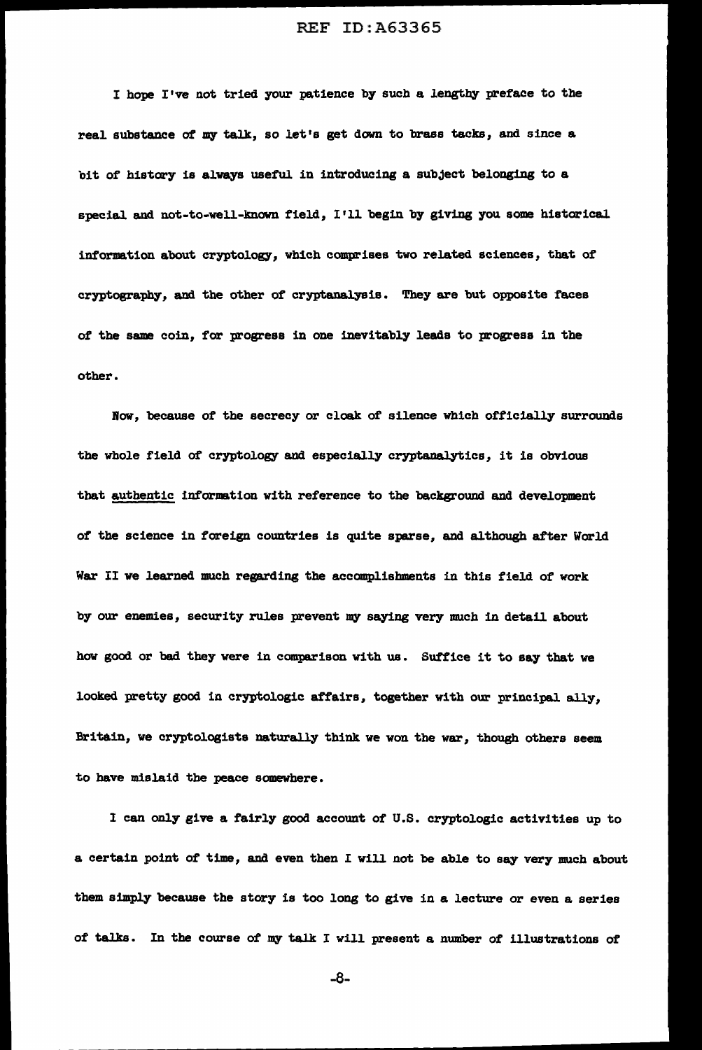I hope I've not tried your patience by such a lengthy preface to the real substance of my talk, so let's get down to brass tacks, and since a bit of history is always useful in introducing a subject belonging to a special and not-to-well-known f'ield, I'll begin by giving you some historical information about cryptology, which comprises two related sciences, that of' cryptography, and the other of cryptanalysis. They are but opposite faces of the same coin, for progress in one inevitably leads to progress in the other.

Bow, because *ot* the secrecy or cloak of silence which officially surrounds the whole field of cryptology and especially cryptanalytics, it is obvious that authentic information with reference to the background and development *ot* the science in foreign countries is quite sparse, and although after World War II we learned much regarding the accomplishments in this field of work by our enemies, security rules prevent my saying very much in detail about how good or bad they were in comparison with us. Suffice it to say that we looked pretty good in cryptologic affairs, together with our principal ally, Britain, we cryptologists naturally think we won the war, though others seem to have mislaid the peace somewhere.

I can only give a fairly good account Of U.S. cryptologic activities up to a certain point of time, and even then I will not be able to say very much about them simply because the story is too long to give in a lecture or even a series of talks. In the course of my talk I will present a number of illustrations of

-8-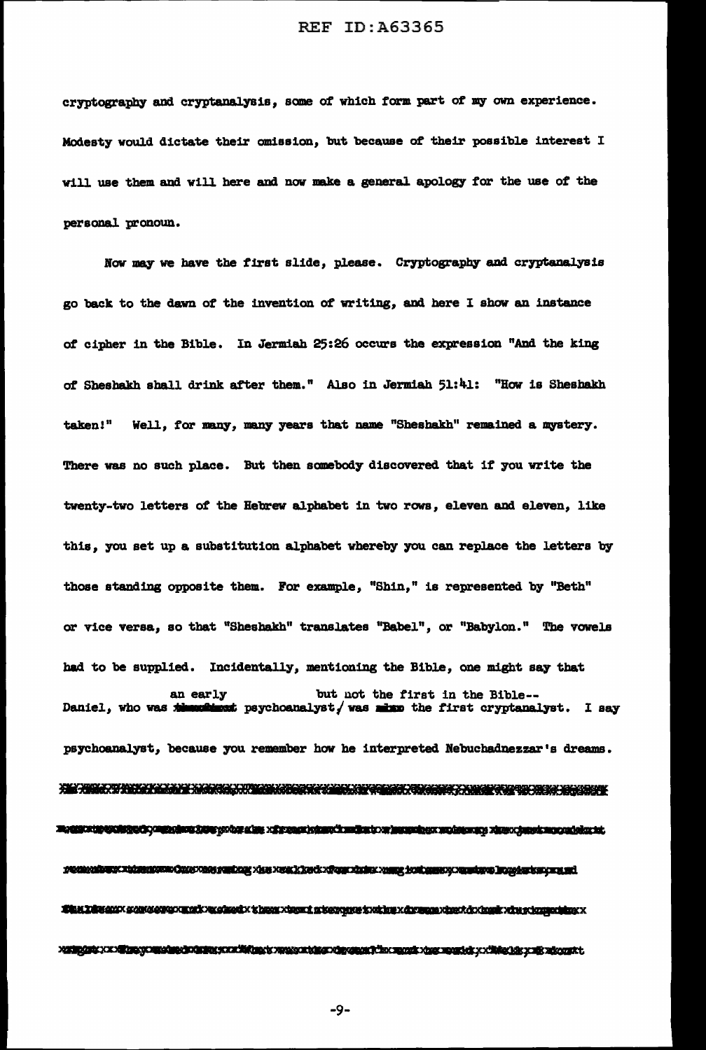cryptography and cryptanalysis, some of which form part of my own experience. Modesty would dictate their omission, but because ot their possible interest <sup>I</sup> will use them and will here and now make a general apology for the use of the personal pronoun.

Now may we have the first slide, please. Cryptography and cryptanalysis go back to the dawn of the invention of writing, and here I show an instance *ot* cipher in the Bible. In Jermiah 25:26 occurs the expression "And the king of Sbesbakh shall drink after them." Also in Jermiah 51:41: "How is Shesbakh taken!" Well, for many, many years that name "Sheshakh" remained a mystery. There was no such place. But then somebody discovered that if you write the twenty-two letters of the Hebrew alphabet in two rows, eleven and eleven, like this, you set up a substitution alphabet whereby you can replace the letters by those standing opposite them. For example, "Shin," is represented by "Beth" or vice versa, so that "Sheshakh" translates "Babel", or "Babylon." The vowels had to be supplied. Incidentally, mentioning the Bible, one might say that an early but not the first in the Bible--<br>Daniel, who was the state psychoanalyst/was mixe the first cryptanal  $\bullet$  making the paychoanalyst, was mixe the first cryptanalyst. I say psychoanalyst, because you remember how he interpreted Nebuchadnezzar's dreams. WAS WINDOW WERN WAS ARRESTED TO THE MAIN WAS ARRESTED FOR THE CONTRACTOR WAS ARRESTED FOR THE WARD TO A THROUGH Maggazing California (1999) and the control of the second state of the state of the conditional of the composite of the second state. What Lawsdalex standers are related to the charge xham intervalue twith a x dramage xhext dixings xim ring charged MANIPARA KAN ETA EGON MANIPARA ETA ERREGIA ERREGIA ERREGIA ERREGIA ETA ERREGIA MANIPARA KONTRA ERREGIA ETA EGON

-9-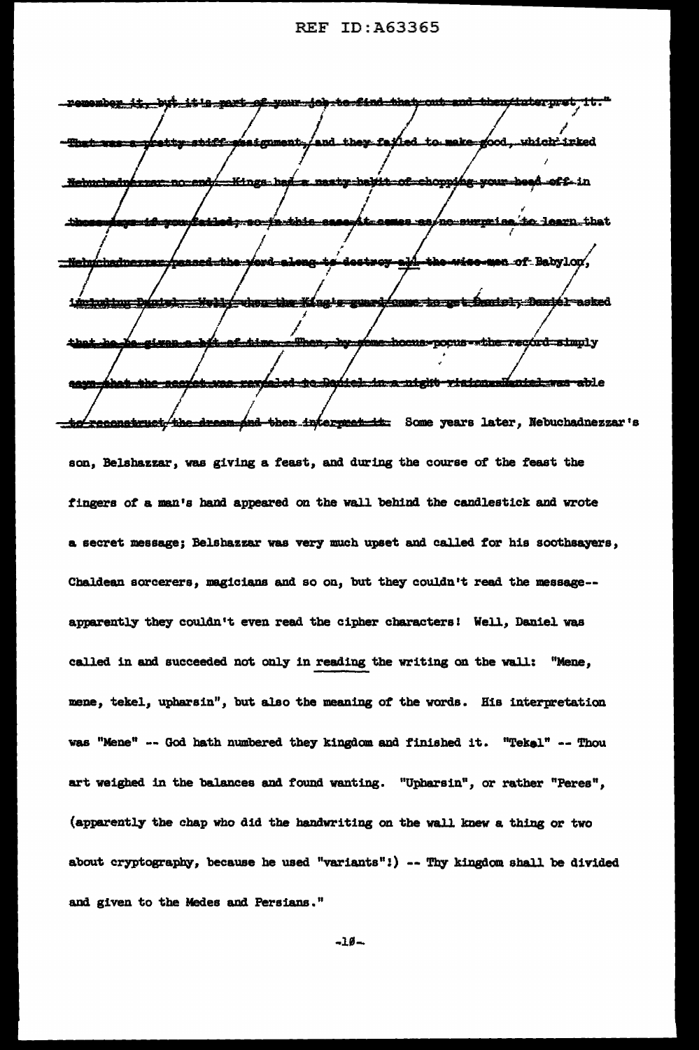remembe<u>r it, byt it!s part of your job to find that out and then/interpret it."</u> and they failed to make good, which irked سككله فعندهما **inigument**, <u> 20-a de anos e est</u> 4-your Kings had a nasty hayit of choppi off-in Nebuchadu <del>zzar no end</del> to learn that <u>ao-in-taire</u> no surprisa en of Babylon, Neb nad <u>Simble</u> ng tergunad Game to get Daniel, Daniel asked índre) when she Ka 1 december <u> - Then - hy - t</u> <u> Augenbinem</u> **ime hocus pocus - the record simply** <u>ibat she seerat was revieled to Daviel in a night risicumulanish wat able</u> **SAMS**be reconstruct the dream-and then intermed in Some years later, Nebuchadnezzar's son, Belshazzar, was giving a feast, and during the course of the feast the fingers of a man's hand appeared on the wall behind the candlestick and wrote a secret message; Belshazzar was very much upset and called for his soothsayers, Chaldean sorcerers, magicians and so on, but they couldn't read the message-apparently they couldn't even read the cipher characters! Well, Daniel was called in and succeeded not only in reading the writing on the wall: "Mene, mene, tekel, upharsin", but also the meaning of the words. His interpretation was "Mene" -- God hath numbered they kingdaa and finished it. "Tekel" -- Thou art weighed in the balances and found wanting. "Upharsin", or rather "Peres", (apparently the chap who did the handwriting on the wall knew a thing or two about cryptography, because he used "variants":) -- Thy kingdom shall be divided and given to the Medea and Persians."